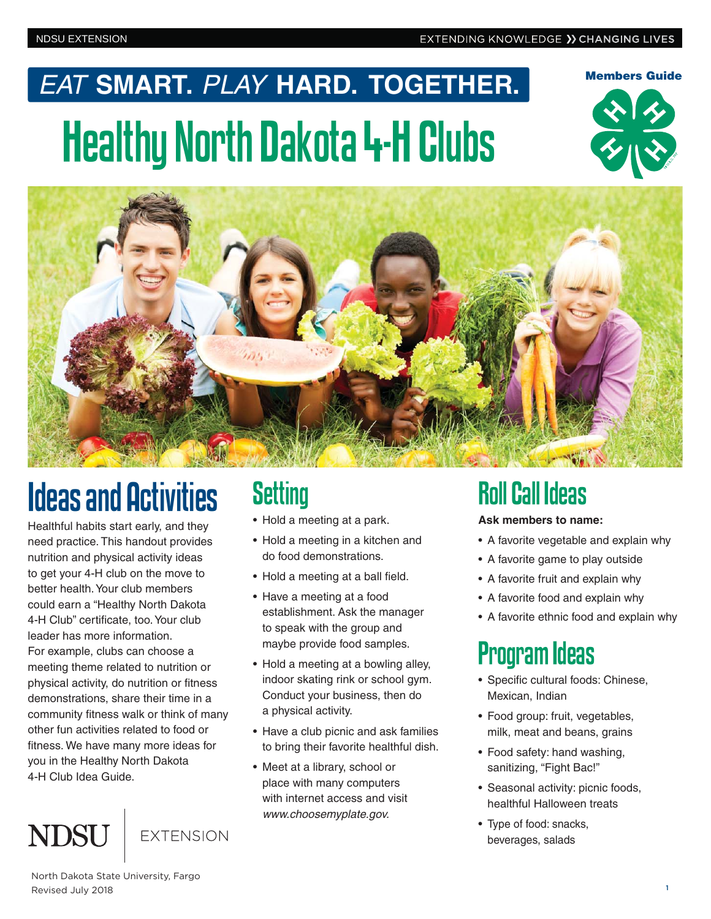# **Healthy North Dakota 4-H Clubs** *EAT* **SMART.** *PLAY* **HARD. TOGETHER. Members Guide**





# Ideas and Activities

Healthful habits start early, and they need practice. This handout provides nutrition and physical activity ideas to get your 4-H club on the move to better health. Your club members could earn a "Healthy North Dakota 4-H Club" certificate, too. Your club leader has more information. For example, clubs can choose a meeting theme related to nutrition or physical activity, do nutrition or fitness demonstrations, share their time in a community fitness walk or think of many other fun activities related to food or fitness. We have many more ideas for you in the Healthy North Dakota 4-H Club Idea Guide.

#### **NDSU FXTENSION**

**Setting** 

- Hold a meeting at a park.
- Hold a meeting in a kitchen and do food demonstrations.
- Hold a meeting at a ball field.
- Have a meeting at a food establishment. Ask the manager to speak with the group and maybe provide food samples.
- Hold a meeting at a bowling alley, indoor skating rink or school gym. Conduct your business, then do a physical activity.
- Have a club picnic and ask families to bring their favorite healthful dish.
- Meet at a library, school or place with many computers with internet access and visit *www.choosemyplate.gov.*

## Roll Call Ideas

#### **Ask members to name:**

- A favorite vegetable and explain why
- A favorite game to play outside
- A favorite fruit and explain why
- A favorite food and explain why
- A favorite ethnic food and explain why

#### Program Ideas

- Specific cultural foods: Chinese, Mexican, Indian
- Food group: fruit, vegetables, milk, meat and beans, grains
- Food safety: hand washing, sanitizing, "Fight Bac!"
- Seasonal activity: picnic foods, healthful Halloween treats
- Type of food: snacks, beverages, salads

North Dakota State University, Fargo Revised July 2018